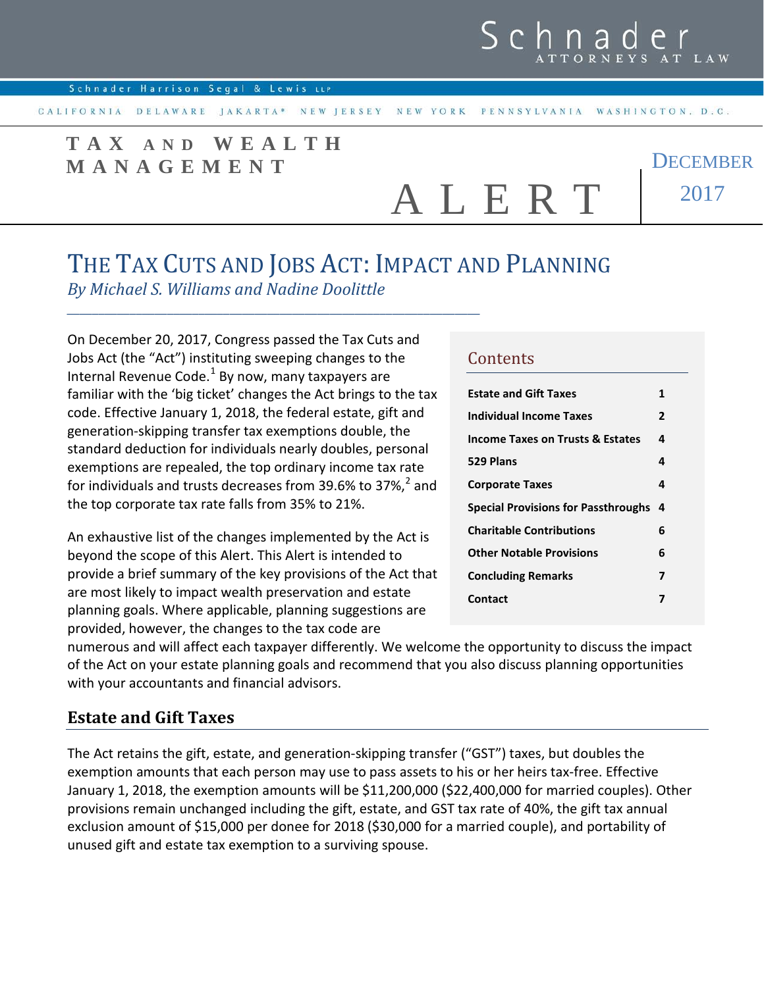CALIFORNIA DELAWARE JAKARTA\* NEW JERSEY NEW YORK PENNSYLVANIA WASHINGTON, D.C.

# **TAX AND WEALTH MANAGEMENT**

A L E R T

**DECEMBER** 2017

# THE TAX CUTS AND JOBS ACT: IMPACT AND PLANNING

*By Michael S. Williams and Nadine Doolittle*

On December 20, 2017, Congress passed the Tax Cuts and Jobs Act (the "Act") instituting sweeping changes to the Internal Revenue Code. $<sup>1</sup>$  $<sup>1</sup>$  $<sup>1</sup>$  By now, many taxpayers are</sup> familiar with the 'big ticket' changes the Act brings to the tax code. Effective January 1, 2018, the federal estate, gift and generation-skipping transfer tax exemptions double, the standard deduction for individuals nearly doubles, personal exemptions are repealed, the top ordinary income tax rate for individuals and trusts decreases from 39.6% to 37%, $^2$  $^2$  and the top corporate tax rate falls from 35% to 21%.

*\_\_\_\_\_\_\_\_\_\_\_\_\_\_\_\_\_\_\_\_\_\_\_\_\_\_\_\_\_\_\_\_\_\_\_\_\_\_\_\_\_\_\_\_\_\_\_\_\_\_\_\_\_\_\_\_\_\_\_\_\_\_\_\_\_\_* 

An exhaustive list of the changes implemented by the Act is beyond the scope of this Alert. This Alert is intended to provide a brief summary of the key provisions of the Act that are most likely to impact wealth preservation and estate planning goals. Where applicable, planning suggestions are provided, however, the changes to the tax code are

#### **Contents**

| <b>Estate and Gift Taxes</b>                | 1              |
|---------------------------------------------|----------------|
| Individual Income Taxes                     | $\overline{2}$ |
| <b>Income Taxes on Trusts &amp; Estates</b> | 4              |
| 529 Plans                                   | 4              |
| <b>Corporate Taxes</b>                      | 4              |
| <b>Special Provisions for Passthroughs</b>  | 4              |
| <b>Charitable Contributions</b>             | 6              |
| <b>Other Notable Provisions</b>             | 6              |
| <b>Concluding Remarks</b>                   | 7              |
|                                             |                |
| Contact                                     | 7              |

numerous and will affect each taxpayer differently. We welcome the opportunity to discuss the impact of the Act on your estate planning goals and recommend that you also discuss planning opportunities with your accountants and financial advisors.

## **Estate and Gift Taxes**

The Act retains the gift, estate, and generation-skipping transfer ("GST") taxes, but doubles the exemption amounts that each person may use to pass assets to his or her heirs tax-free. Effective January 1, 2018, the exemption amounts will be \$11,200,000 (\$22,400,000 for married couples). Other provisions remain unchanged including the gift, estate, and GST tax rate of 40%, the gift tax annual exclusion amount of \$15,000 per donee for 2018 (\$30,000 for a married couple), and portability of unused gift and estate tax exemption to a surviving spouse.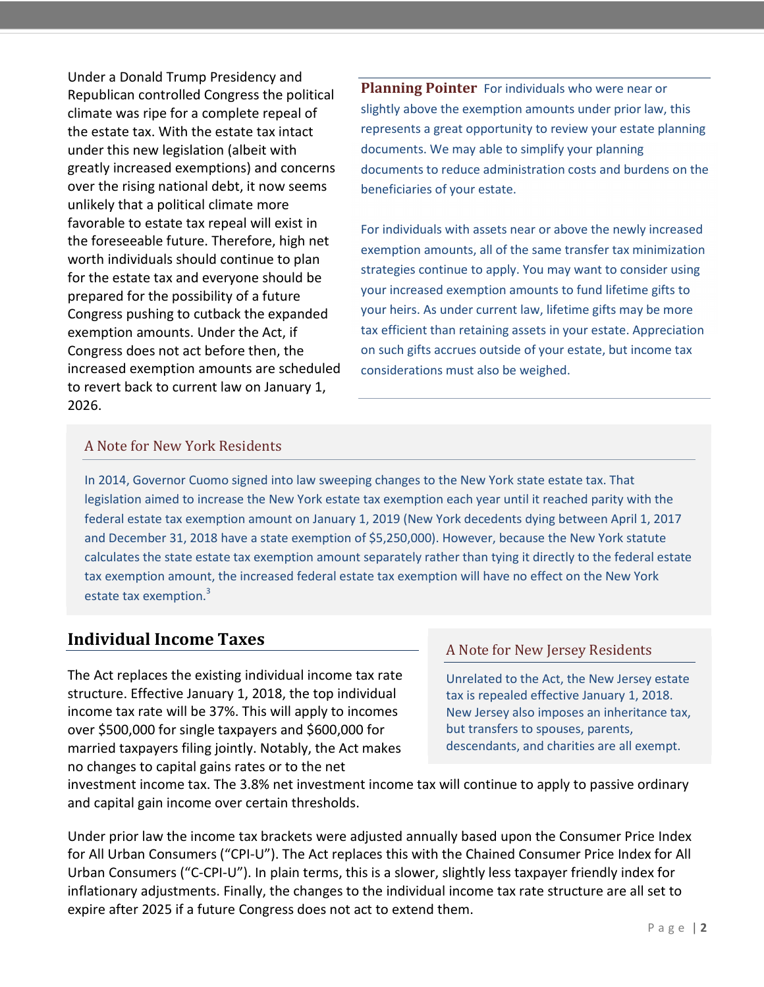<span id="page-1-0"></span>Under a Donald Trump Presidency and Republican controlled Congress the political climate was ripe for a complete repeal of the estate tax. With the estate tax intact under this new legislation (albeit with greatly increased exemptions) and concerns over the rising national debt, it now seems unlikely that a political climate more favorable to estate tax repeal will exist in the foreseeable future. Therefore, high net worth individuals should continue to plan for the estate tax and everyone should be prepared for the possibility of a future Congress pushing to cutback the expanded exemption amounts. Under the Act, if Congress does not act before then, the increased exemption amounts are scheduled to revert back to current law on January 1, 2026[.](#page--1-0) 

**Planning Pointer** For individuals who were near or slightly above the exemption amounts under prior law, this represents a great opportunity to review your estate planning documents. We may able to simplify your planning documents to reduce administration costs and burdens on the beneficiaries of your estate.

For individuals with assets near or above the newly increased exemption amounts, all of the same transfer tax minimization strategies continue to apply. You may want to consider using your increased exemption amounts to fund lifetime gifts to your heirs. As under current law, lifetime gifts may be more tax efficient than retaining assets in your estate. Appreciation on such gifts accrues outside of your estate, but income tax considerations must also be weighed.

#### A Note for New York Residents

In 2014, Governor Cuomo signed into law sweeping changes to the New York state estate tax. That legislation aimed to increase the New York estate tax exemption each year until it reached parity with the federal estate tax exemption amount on January 1, 2019 (New York decedents dying between April 1, 2017 and December 31, 2018 have a state exemption of \$5,250,000). However, because the New York statute calculates the state estate tax exemption amount separately rather than tying it directly to the federal estate tax exemption amount, the increased federal estate tax exemption will have no effect on the New York estate tax exemption.<sup>[3](#page-6-1)</sup>

### **Individual Income Taxes**

The Act replaces the existing individual income tax rate structure. Effective January 1, 2018, the top individual income tax rate will be 37%. This will apply to incomes over \$500,000 for single taxpayers and \$600,000 for married taxpayers filing jointly. Notably, the Act makes no changes to capital gains rates or to the net

#### A Note for New Jersey Residents

Unrelated to the Act, the New Jersey estate tax is repealed effective January 1, 2018. New Jersey also imposes an inheritance tax, but transfers to spouses, parents, descendants, and charities are all exempt.

investment income tax. The 3.8% net investment income tax will continue to apply to passive ordinary and capital gain income over certain thresholds.

Under prior law the income tax brackets were adjusted annually based upon the Consumer Price Index for All Urban Consumers ("CPI-U"). The Act replaces this with the Chained Consumer Price Index for All Urban Consumers ("C-CPI-U"). In plain terms, this is a slower, slightly less taxpayer friendly index for inflationary adjustments. Finally, the changes to the individual income tax rate structure are all set to expire after 2025 if a future Congress does not act to extend them.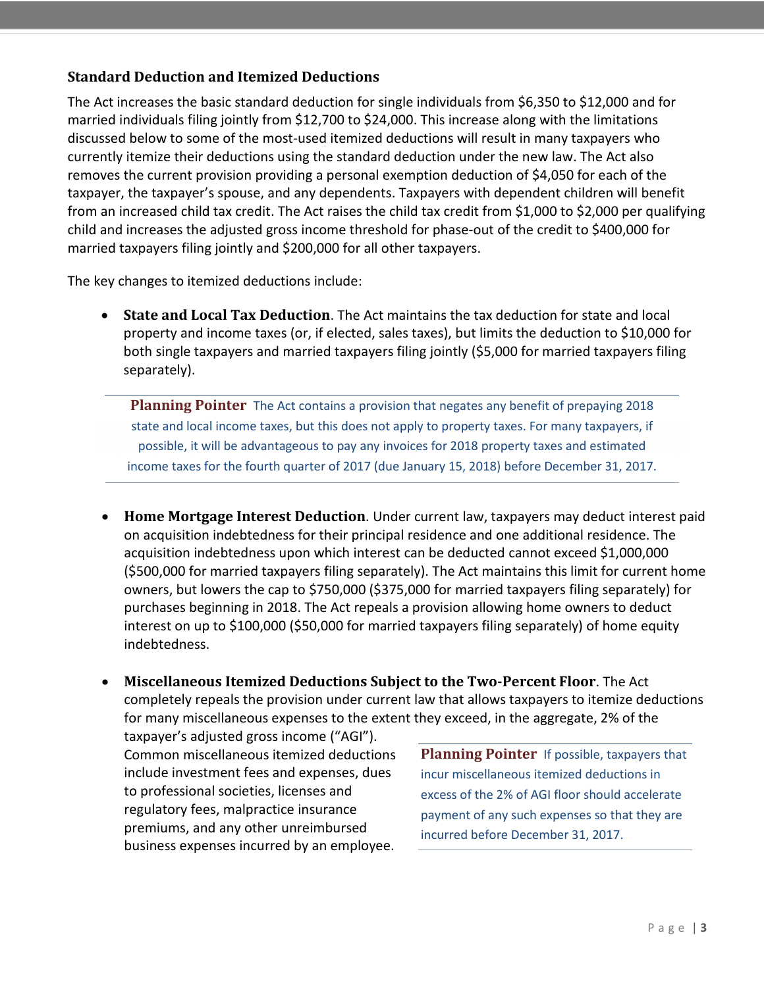#### **Standard Deduction and Itemized Deductions**

The Act increases the basic standard deduction for single individuals from \$6,350 to \$12,000 and for married individuals filing jointly from \$12,700 to \$24,000. This increase along with the limitations discussed below to some of the most-used itemized deductions will result in many taxpayers who currently itemize their deductions using the standard deduction under the new law. The Act also removes the current provision providing a personal exemption deduction of \$4,050 for each of the taxpayer, the taxpayer's spouse, and any dependents. Taxpayers with dependent children will benefit from an increased child tax credit. The Act raises the child tax credit from \$1,000 to \$2,000 per qualifying child and increases the adjusted gross income threshold for phase-out of the credit to \$400,000 for married taxpayers filing jointly and \$200,000 for all other taxpayers.

The key changes to itemized deductions include:

• **State and Local Tax Deduction**. The Act maintains the tax deduction for state and local property and income taxes (or, if elected, sales taxes), but limits the deduction to \$10,000 for both single taxpayers and married taxpayers filing jointly (\$5,000 for married taxpayers filing separately).

**Planning Pointer** The Act contains a provision that negates any benefit of prepaying 2018 state and local income taxes, but this does not apply to property taxes. For many taxpayers, if possible, it will be advantageous to pay any invoices for 2018 property taxes and estimated income taxes for the fourth quarter of 2017 (due January 15, 2018) before December 31, 2017.

- **Home Mortgage Interest Deduction**. Under current law, taxpayers may deduct interest paid on acquisition indebtedness for their principal residence and one additional residence. The acquisition indebtedness upon which interest can be deducted cannot exceed \$1,000,000 (\$500,000 for married taxpayers filing separately). The Act maintains this limit for current home owners, but lowers the cap to \$750,000 (\$375,000 for married taxpayers filing separately) for purchases beginning in 2018. The Act repeals a provision allowing home owners to deduct interest on up to \$100,000 (\$50,000 for married taxpayers filing separately) of home equity indebtedness.
- **Miscellaneous Itemized Deductions Subject to the Two-Percent Floor**. The Act completely repeals the provision under current law that allows taxpayers to itemize deductions for many miscellaneous expenses to the extent they exceed, in the aggregate, 2% of the

taxpayer's adjusted gross income ("AGI"). Common miscellaneous itemized deductions include investment fees and expenses, dues to professional societies, licenses and regulatory fees, malpractice insurance premiums, and any other unreimbursed business expenses incurred by an employee.

**Planning Pointer** If possible, taxpayers that incur miscellaneous itemized deductions in excess of the 2% of AGI floor should accelerate payment of any such expenses so that they are incurred before December 31, 2017.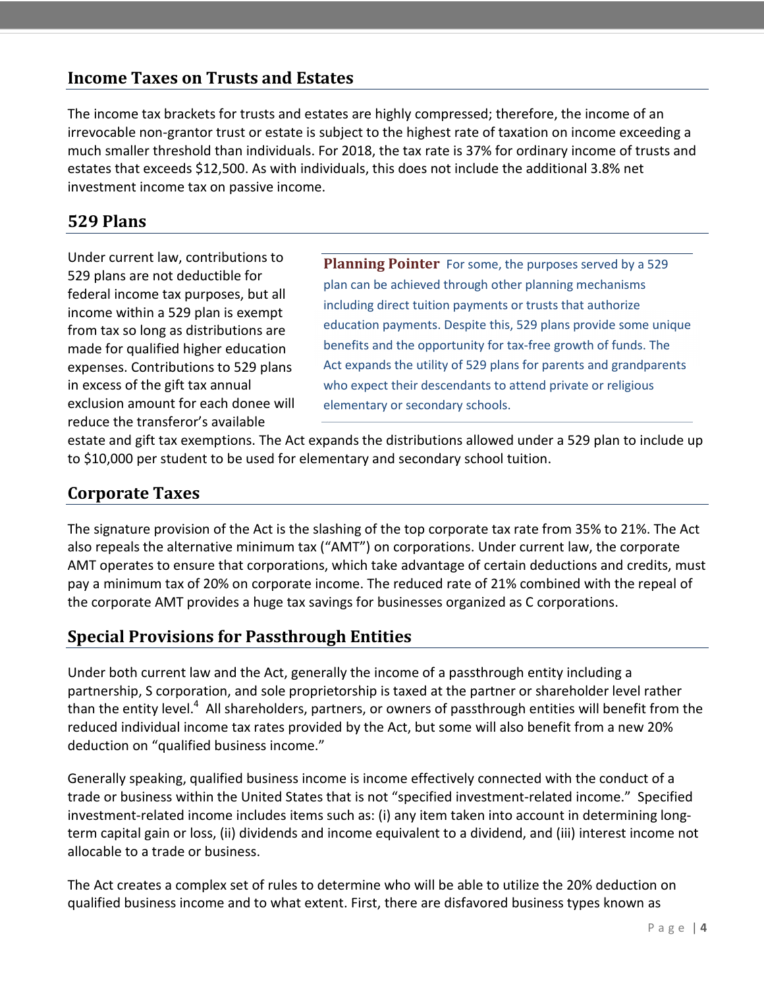## <span id="page-3-0"></span>**Income Taxes on Trusts and Estates**

<span id="page-3-1"></span>The income tax brackets for trusts and estates are highly compressed; therefore, the income of an irrevocable non-grantor trust or estate is subject to the highest rate of taxation on income exceeding a much smaller threshold than individuals. For 2018, the tax rate is 37% for ordinary income of trusts and estates that exceeds \$12,500. As with individuals, this does not include the additional 3.8% net investment income tax on passive income.

### **529 Plans**

<span id="page-3-2"></span>Under current law, contributions to 529 plans are not deductible for federal income tax purposes, but all income within a 529 plan is exempt from tax so long as distributions are made for qualified higher education expenses. Contributions to 529 plans in excess of the gift tax annual exclusion amount for each donee will reduce the transferor's available

**Planning Pointer** For some, the purposes served by a 529 plan can be achieved through other planning mechanisms including direct tuition payments or trusts that authorize education payments. Despite this, 529 plans provide some unique benefits and the opportunity for tax-free growth of funds. The Act expands the utility of 529 plans for parents and grandparents who expect their descendants to attend private or religious elementary or secondary schools.

estate and gift tax exemptions. The Act expands the distributions allowed under a 529 plan to include up to \$10,000 per student to be used for elementary and secondary school tuition.

#### **Corporate Taxes**

The signature provision of the Act is the slashing of the top corporate tax rate from 35% to 21%. The Act also repeals the alternative minimum tax ("AMT") on corporations. Under current law, the corporate AMT operates to ensure that corporations, which take advantage of certain deductions and credits, must pay a minimum tax of 20% on corporate income. The reduced rate of 21% combined with the repeal of the corporate AMT provides a huge tax savings for businesses organized as C corporations.

## **Special Provisions for Passthrough Entities**

Under both current law and the Act, generally the income of a passthrough entity including a partnership, S corporation, and sole proprietorship is taxed at the partner or shareholder level rather than the entity level.<sup>[4](#page-6-0)</sup> All shareholders, partners, or owners of passthrough entities will benefit from the reduced individual income tax rates provided by the Act, but some will also benefit from a new 20% deduction on "qualified business income."

Generally speaking, qualified business income is income effectively connected with the conduct of a trade or business within the United States that is not "specified investment-related income." Specified investment-related income includes items such as: (i) any item taken into account in determining longterm capital gain or loss, (ii) dividends and income equivalent to a dividend, and (iii) interest income not allocable to a trade or business.

The Act creates a complex set of rules to determine who will be able to utilize the 20% deduction on qualified business income and to what extent. First, there are disfavored business types known as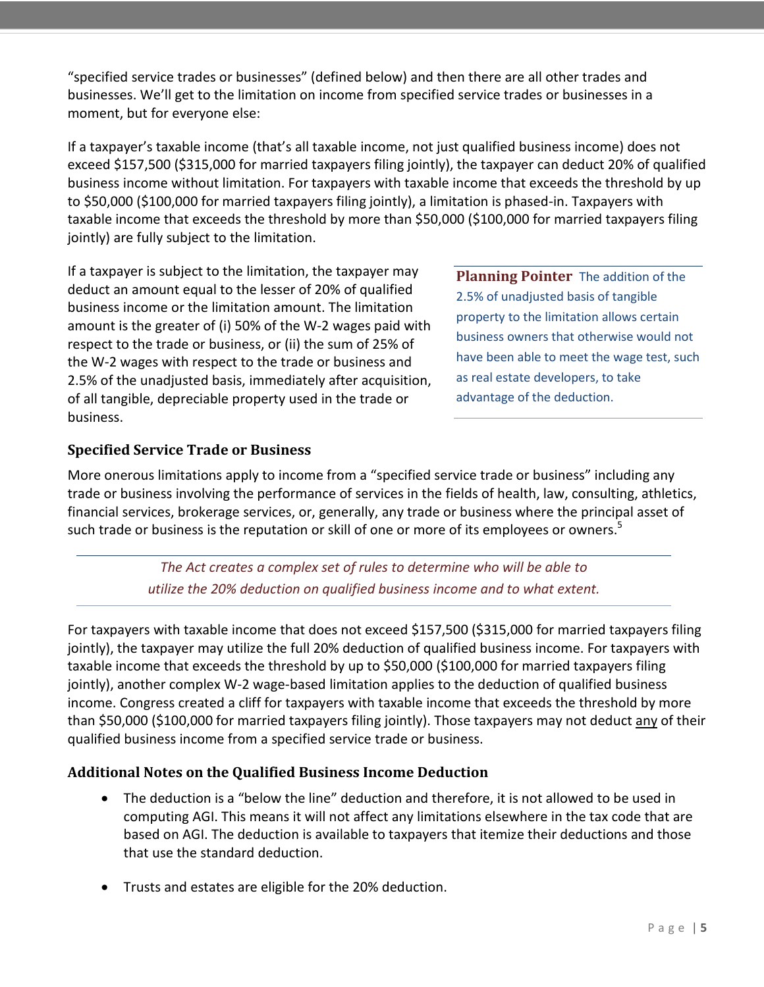"specified service trades or businesses" (defined below) and then there are all other trades and businesses. We'll get to the limitation on income from specified service trades or businesses in a moment, but for everyone else:

If a taxpayer's taxable income (that's all taxable income, not just qualified business income) does not exceed \$157,500 (\$315,000 for married taxpayers filing jointly), the taxpayer can deduct 20% of qualified business income without limitation. For taxpayers with taxable income that exceeds the threshold by up to \$50,000 (\$100,000 for married taxpayers filing jointly), a limitation is phased-in. Taxpayers with taxable income that exceeds the threshold by more than \$50,000 (\$100,000 for married taxpayers filing jointly) are fully subject to the limitation.

If a taxpayer is subject to the limitation, the taxpayer may deduct an amount equal to the lesser of 20% of qualified business income or the limitation amount. The limitation amount is the greater of (i) 50% of the W-2 wages paid with respect to the trade or business, or (ii) the sum of 25% of the W-2 wages with respect to the trade or business and 2.5% of the unadjusted basis, immediately after acquisition, of all tangible, depreciable property used in the trade or business.

**Planning Pointer** The addition of the 2.5% of unadjusted basis of tangible property to the limitation allows certain business owners that otherwise would not have been able to meet the wage test, such as real estate developers, to take advantage of the deduction.

#### **Specified Service Trade or Business**

More onerous limitations apply to income from a "specified service trade or business" including any trade or business involving the performance of services in the fields of health, law, consulting, athletics, financial services, brokerage services, or, generally, any trade or business where the principal asset of such trade or business is the reputation or skill of one or more of its employees or owners.<sup>[5](#page-6-0)</sup>

> *The Act creates a complex set of rules to determine who will be able to utilize the 20% deduction on qualified business income and to what extent.*

For taxpayers with taxable income that does not exceed \$157,500 (\$315,000 for married taxpayers filing jointly), the taxpayer may utilize the full 20% deduction of qualified business income. For taxpayers with taxable income that exceeds the threshold by up to \$50,000 (\$100,000 for married taxpayers filing jointly), another complex W-2 wage-based limitation applies to the deduction of qualified business income. Congress created a cliff for taxpayers with taxable income that exceeds the threshold by more than \$50,000 (\$100,000 for married taxpayers filing jointly). Those taxpayers may not deduct any of their qualified business income from a specified service trade or business.

#### **Additional Notes on the Qualified Business Income Deduction**

- The deduction is a "below the line" deduction and therefore, it is not allowed to be used in computing AGI. This means it will not affect any limitations elsewhere in the tax code that are based on AGI. The deduction is available to taxpayers that itemize their deductions and those that use the standard deduction.
- Trusts and estates are eligible for the 20% deduction.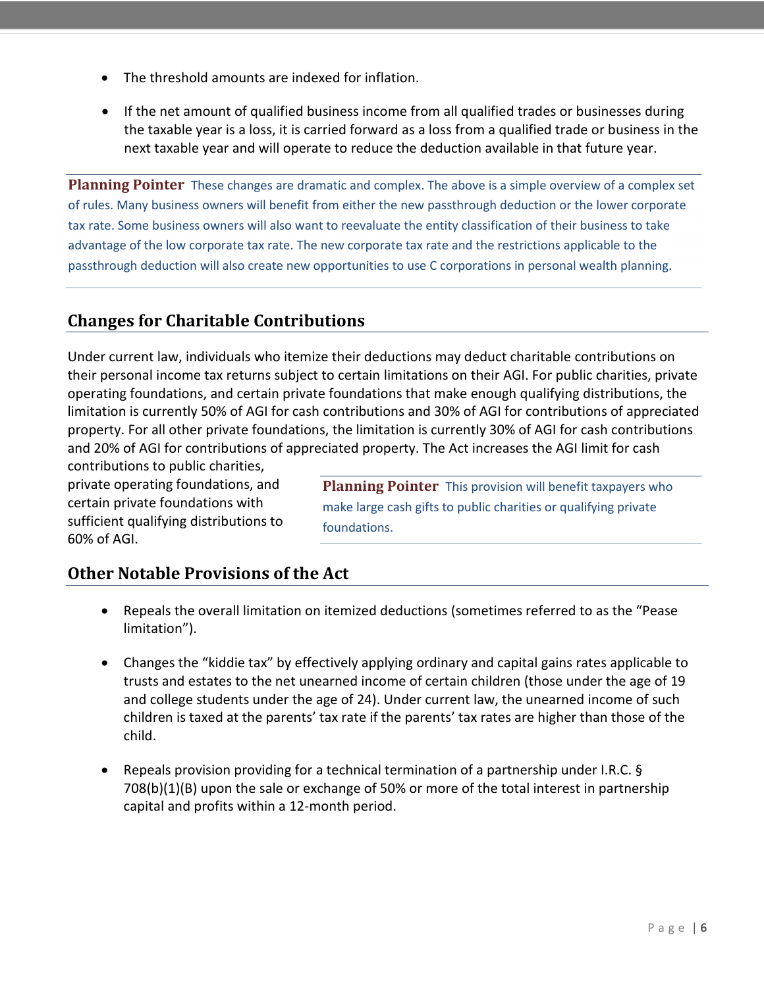- <span id="page-5-0"></span>• The threshold amounts are indexed for inflation.
- If the net amount of qualified business income from all qualified trades or businesses during the taxable year is a loss, it is carried forward as a loss from a qualified trade or business in the next taxable year and will operate to reduce the deduction available in that future year.

<span id="page-5-1"></span>**Planning Pointer** These changes are dramatic and complex. The above is a simple overview of a complex set of rules. Many business owners will benefit from either the new passthrough deduction or the lower corporate tax rate. Some business owners will also want to reevaluate the entity classification of their business to take advantage of the low corporate tax rate. The new corporate tax rate and the restrictions applicable to the passthrough deduction will also create new opportunities to use C corporations in personal wealth planning.

# **Changes for Charitable Contributions**

Under current law, individuals who itemize their deductions may deduct charitable contributions on their personal income tax returns subject to certain limitations on their AGI. For public charities, private operating foundations, and certain private foundations that make enough qualifying distributions, the limitation is currently 50% of AGI for cash contributions and 30% of AGI for contributions of appreciated property. For all other private foundations, the limitation is currently 30% of AGI for cash contributions and 20% of AGI for contributions of appreciated property. The Act increases the AGI limit for cash

contributions to public charities, private operating foundations, and certain private foundations with sufficient qualifying distributions to 60% of AGI.

**Planning Pointer** This provision will benefit taxpayers who make large cash gifts to public charities or qualifying private foundations.

## **Other Notable Provisions of the Act**

- Repeals the overall limitation on itemized deductions (sometimes referred to as the "Pease limitation").
- Changes the "kiddie tax" by effectively applying ordinary and capital gains rates applicable to trusts and estates to the net unearned income of certain children (those under the age of 19 and college students under the age of 24). Under current law, the unearned income of such children is taxed at the parents' tax rate if the parents' tax rates are higher than those of the child.
- Repeals provision providing for a technical termination of a partnership under I.R.C. § 708(b)(1)(B) upon the sale or exchange of 50% or more of the total interest in partnership capital and profits within a 12-month period.